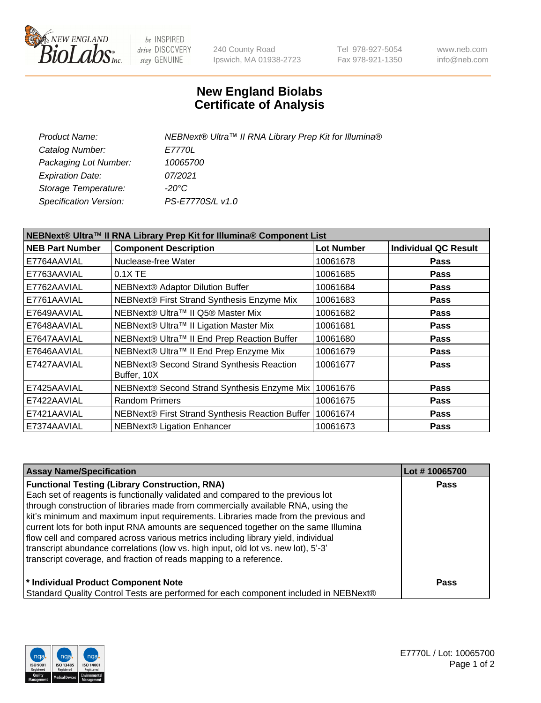

be INSPIRED drive DISCOVERY stay GENUINE

240 County Road Ipswich, MA 01938-2723 Tel 978-927-5054 Fax 978-921-1350 www.neb.com info@neb.com

## **New England Biolabs Certificate of Analysis**

| Product Name:           | NEBNext® Ultra™ II RNA Library Prep Kit for Illumina® |
|-------------------------|-------------------------------------------------------|
| Catalog Number:         | E7770L                                                |
| Packaging Lot Number:   | 10065700                                              |
| <b>Expiration Date:</b> | 07/2021                                               |
| Storage Temperature:    | -20°C                                                 |
| Specification Version:  | PS-E7770S/L v1.0                                      |

| NEBNext® Ultra™ II RNA Library Prep Kit for Illumina® Component List |                                                          |                   |                             |  |
|----------------------------------------------------------------------|----------------------------------------------------------|-------------------|-----------------------------|--|
| <b>NEB Part Number</b>                                               | <b>Component Description</b>                             | <b>Lot Number</b> | <b>Individual QC Result</b> |  |
| E7764AAVIAL                                                          | Nuclease-free Water                                      | 10061678          | <b>Pass</b>                 |  |
| E7763AAVIAL                                                          | $0.1X$ TE                                                | 10061685          | <b>Pass</b>                 |  |
| E7762AAVIAL                                                          | <b>NEBNext® Adaptor Dilution Buffer</b>                  | 10061684          | <b>Pass</b>                 |  |
| E7761AAVIAL                                                          | NEBNext® First Strand Synthesis Enzyme Mix               | 10061683          | <b>Pass</b>                 |  |
| E7649AAVIAL                                                          | NEBNext® Ultra™ II Q5® Master Mix                        | 10061682          | <b>Pass</b>                 |  |
| E7648AAVIAL                                                          | NEBNext® Ultra™ II Ligation Master Mix                   | 10061681          | <b>Pass</b>                 |  |
| E7647AAVIAL                                                          | NEBNext® Ultra™ II End Prep Reaction Buffer              | 10061680          | <b>Pass</b>                 |  |
| E7646AAVIAL                                                          | NEBNext® Ultra™ II End Prep Enzyme Mix                   | 10061679          | <b>Pass</b>                 |  |
| E7427AAVIAL                                                          | NEBNext® Second Strand Synthesis Reaction<br>Buffer, 10X | 10061677          | <b>Pass</b>                 |  |
| E7425AAVIAL                                                          | NEBNext® Second Strand Synthesis Enzyme Mix              | 10061676          | Pass                        |  |
| E7422AAVIAL                                                          | <b>Random Primers</b>                                    | 10061675          | <b>Pass</b>                 |  |
| E7421AAVIAL                                                          | NEBNext® First Strand Synthesis Reaction Buffer          | 10061674          | <b>Pass</b>                 |  |
| E7374AAVIAL                                                          | <b>NEBNext® Ligation Enhancer</b>                        | 10061673          | <b>Pass</b>                 |  |

| <b>Assay Name/Specification</b>                                                      | Lot #10065700 |
|--------------------------------------------------------------------------------------|---------------|
| <b>Functional Testing (Library Construction, RNA)</b>                                | <b>Pass</b>   |
| Each set of reagents is functionally validated and compared to the previous lot      |               |
| through construction of libraries made from commercially available RNA, using the    |               |
| kit's minimum and maximum input requirements. Libraries made from the previous and   |               |
| current lots for both input RNA amounts are sequenced together on the same Illumina  |               |
| flow cell and compared across various metrics including library yield, individual    |               |
| transcript abundance correlations (low vs. high input, old lot vs. new lot), 5'-3'   |               |
| transcript coverage, and fraction of reads mapping to a reference.                   |               |
| * Individual Product Component Note                                                  | <b>Pass</b>   |
| Standard Quality Control Tests are performed for each component included in NEBNext® |               |